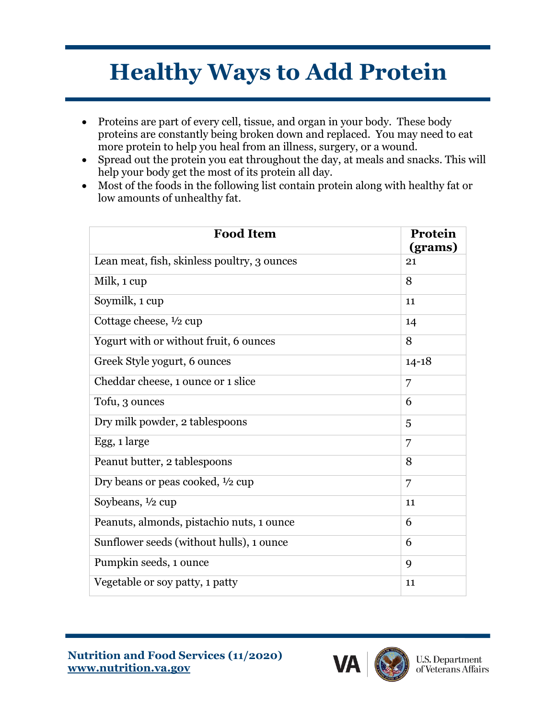# **Healthy Ways to Add Protein**

- Proteins are part of every cell, tissue, and organ in your body. These body proteins are constantly being broken down and replaced. You may need to eat more protein to help you heal from an illness, surgery, or a wound.
- Spread out the protein you eat throughout the day, at meals and snacks. This will help your body get the most of its protein all day.
- Most of the foods in the following list contain protein along with healthy fat or low amounts of unhealthy fat.

| <b>Food Item</b>                            | Protein<br>(grams) |
|---------------------------------------------|--------------------|
| Lean meat, fish, skinless poultry, 3 ounces | 21                 |
| Milk, 1 cup                                 | 8                  |
| Soymilk, 1 cup                              | 11                 |
| Cottage cheese, 1/2 cup                     | 14                 |
| Yogurt with or without fruit, 6 ounces      | 8                  |
| Greek Style yogurt, 6 ounces                | $14 - 18$          |
| Cheddar cheese, 1 ounce or 1 slice          | 7                  |
| Tofu, 3 ounces                              | 6                  |
| Dry milk powder, 2 tablespoons              | 5                  |
| Egg, 1 large                                | 7                  |
| Peanut butter, 2 tablespoons                | 8                  |
| Dry beans or peas cooked, 1/2 cup           | 7                  |
| Soybeans, $\frac{1}{2}$ cup                 | 11                 |
| Peanuts, almonds, pistachio nuts, 1 ounce   | 6                  |
| Sunflower seeds (without hulls), 1 ounce    | 6                  |
| Pumpkin seeds, 1 ounce                      | 9                  |
| Vegetable or soy patty, 1 patty             | 11                 |

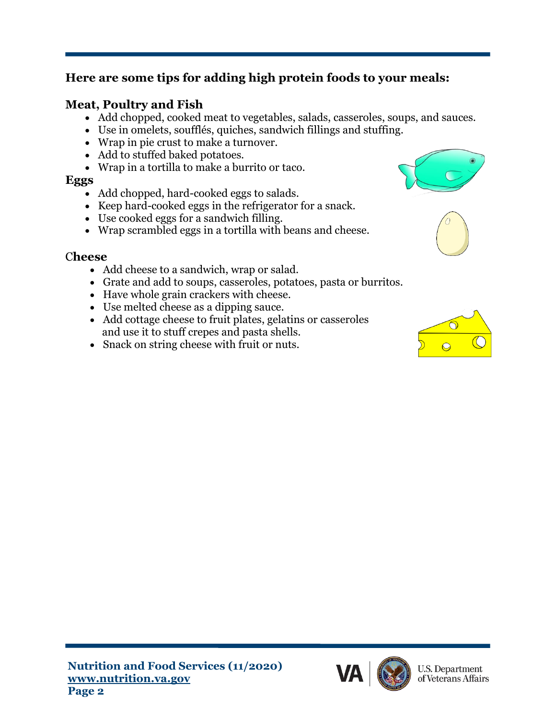## **Here are some tips for adding high protein foods to your meals:**

## **Meat, Poultry and Fish**

- Add chopped, cooked meat to vegetables, salads, casseroles, soups, and sauces.
- Use in omelets, soufflés, quiches, sandwich fillings and stuffing.
- Wrap in pie crust to make a turnover.
- Add to stuffed baked potatoes.
- Wrap in a tortilla to make a burrito or taco.

#### **Eggs**

- Add chopped, hard-cooked eggs to salads.
- Keep hard-cooked eggs in the refrigerator for a snack.
- Use cooked eggs for a sandwich filling.
- Wrap scrambled eggs in a tortilla with beans and cheese.

### C**heese**

- Add cheese to a sandwich, wrap or salad.
- Grate and add to soups, casseroles, potatoes, pasta or burritos.
- Have whole grain crackers with cheese.
- Use melted cheese as a dipping sauce.
- Add cottage cheese to fruit plates, gelatins or casseroles and use it to stuff crepes and pasta shells.
- Snack on string cheese with fruit or nuts.







**U.S. Department** of Veterans Affairs